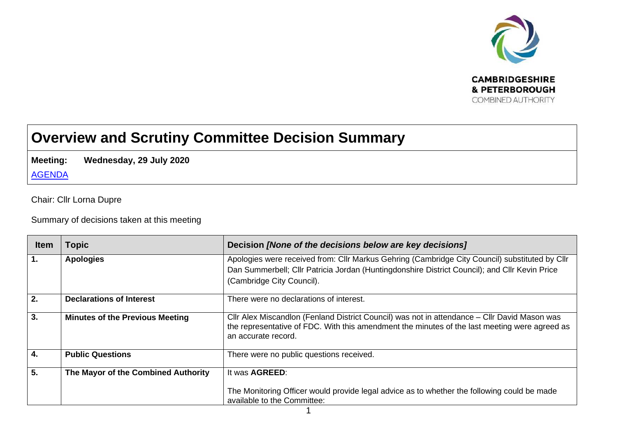

## **Overview and Scrutiny Committee Decision Summary**

**Meeting: Wednesday, 29 July 2020**

[AGENDA](https://cambridgeshirepeterboroughcagov.cmis.uk.com/Meetings/tabid/70/ctl/ViewMeetingPublic/mid/397/Meeting/2005/Committee/68/SelectedTab/Documents/Default.aspx)

Chair: Cllr Lorna Dupre

Summary of decisions taken at this meeting

| <b>Item</b>      | <b>Topic</b>                           | Decision [None of the decisions below are key decisions]                                       |
|------------------|----------------------------------------|------------------------------------------------------------------------------------------------|
| $\mathbf{1}$ .   | <b>Apologies</b>                       | Apologies were received from: Cllr Markus Gehring (Cambridge City Council) substituted by Cllr |
|                  |                                        | Dan Summerbell; Cllr Patricia Jordan (Huntingdonshire District Council); and Cllr Kevin Price  |
|                  |                                        | (Cambridge City Council).                                                                      |
|                  |                                        |                                                                                                |
| 2.               | <b>Declarations of Interest</b>        | There were no declarations of interest.                                                        |
| 3.               | <b>Minutes of the Previous Meeting</b> | CIIr Alex Miscandlon (Fenland District Council) was not in attendance – CIIr David Mason was   |
|                  |                                        | the representative of FDC. With this amendment the minutes of the last meeting were agreed as  |
|                  |                                        | an accurate record.                                                                            |
| 4.               | <b>Public Questions</b>                | There were no public questions received.                                                       |
|                  |                                        |                                                                                                |
| $\overline{5}$ . | The Mayor of the Combined Authority    | It was <b>AGREED:</b>                                                                          |
|                  |                                        |                                                                                                |
|                  |                                        | The Monitoring Officer would provide legal advice as to whether the following could be made    |
|                  |                                        | available to the Committee:                                                                    |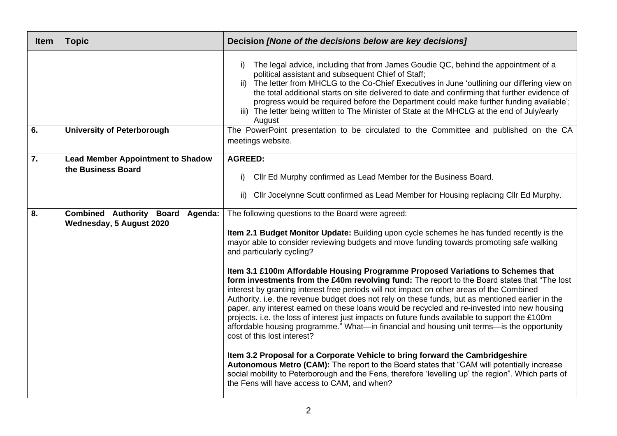| <b>Item</b>      | <b>Topic</b>                                                        | Decision [None of the decisions below are key decisions]                                                                                                                                                                                                                                                                                                                                                                                                                                                                                                                                                                                                                                                                                                                                                                                                                                                                                                                                                                                                                                                                                                                                                                                                                                                                        |
|------------------|---------------------------------------------------------------------|---------------------------------------------------------------------------------------------------------------------------------------------------------------------------------------------------------------------------------------------------------------------------------------------------------------------------------------------------------------------------------------------------------------------------------------------------------------------------------------------------------------------------------------------------------------------------------------------------------------------------------------------------------------------------------------------------------------------------------------------------------------------------------------------------------------------------------------------------------------------------------------------------------------------------------------------------------------------------------------------------------------------------------------------------------------------------------------------------------------------------------------------------------------------------------------------------------------------------------------------------------------------------------------------------------------------------------|
|                  |                                                                     | The legal advice, including that from James Goudie QC, behind the appointment of a<br>i)<br>political assistant and subsequent Chief of Staff;<br>ii) The letter from MHCLG to the Co-Chief Executives in June 'outlining our differing view on<br>the total additional starts on site delivered to date and confirming that further evidence of<br>progress would be required before the Department could make further funding available';<br>iii) The letter being written to The Minister of State at the MHCLG at the end of July/early<br>August                                                                                                                                                                                                                                                                                                                                                                                                                                                                                                                                                                                                                                                                                                                                                                           |
| 6.               | <b>University of Peterborough</b>                                   | The PowerPoint presentation to be circulated to the Committee and published on the CA<br>meetings website.                                                                                                                                                                                                                                                                                                                                                                                                                                                                                                                                                                                                                                                                                                                                                                                                                                                                                                                                                                                                                                                                                                                                                                                                                      |
| $\overline{7}$ . | <b>Lead Member Appointment to Shadow</b><br>the Business Board      | <b>AGREED:</b><br>Cllr Ed Murphy confirmed as Lead Member for the Business Board.<br>i)<br>Cllr Jocelynne Scutt confirmed as Lead Member for Housing replacing Cllr Ed Murphy.<br>ii)                                                                                                                                                                                                                                                                                                                                                                                                                                                                                                                                                                                                                                                                                                                                                                                                                                                                                                                                                                                                                                                                                                                                           |
| $\overline{8}$ . | <b>Combined Authority Board Agenda:</b><br>Wednesday, 5 August 2020 | The following questions to the Board were agreed:<br>Item 2.1 Budget Monitor Update: Building upon cycle schemes he has funded recently is the<br>mayor able to consider reviewing budgets and move funding towards promoting safe walking<br>and particularly cycling?<br>Item 3.1 £100m Affordable Housing Programme Proposed Variations to Schemes that<br>form investments from the £40m revolving fund: The report to the Board states that "The lost<br>interest by granting interest free periods will not impact on other areas of the Combined<br>Authority. i.e. the revenue budget does not rely on these funds, but as mentioned earlier in the<br>paper, any interest earned on these loans would be recycled and re-invested into new housing<br>projects. i.e. the loss of interest just impacts on future funds available to support the £100m<br>affordable housing programme." What—in financial and housing unit terms—is the opportunity<br>cost of this lost interest?<br>Item 3.2 Proposal for a Corporate Vehicle to bring forward the Cambridgeshire<br>Autonomous Metro (CAM): The report to the Board states that "CAM will potentially increase<br>social mobility to Peterborough and the Fens, therefore 'levelling up' the region". Which parts of<br>the Fens will have access to CAM, and when? |